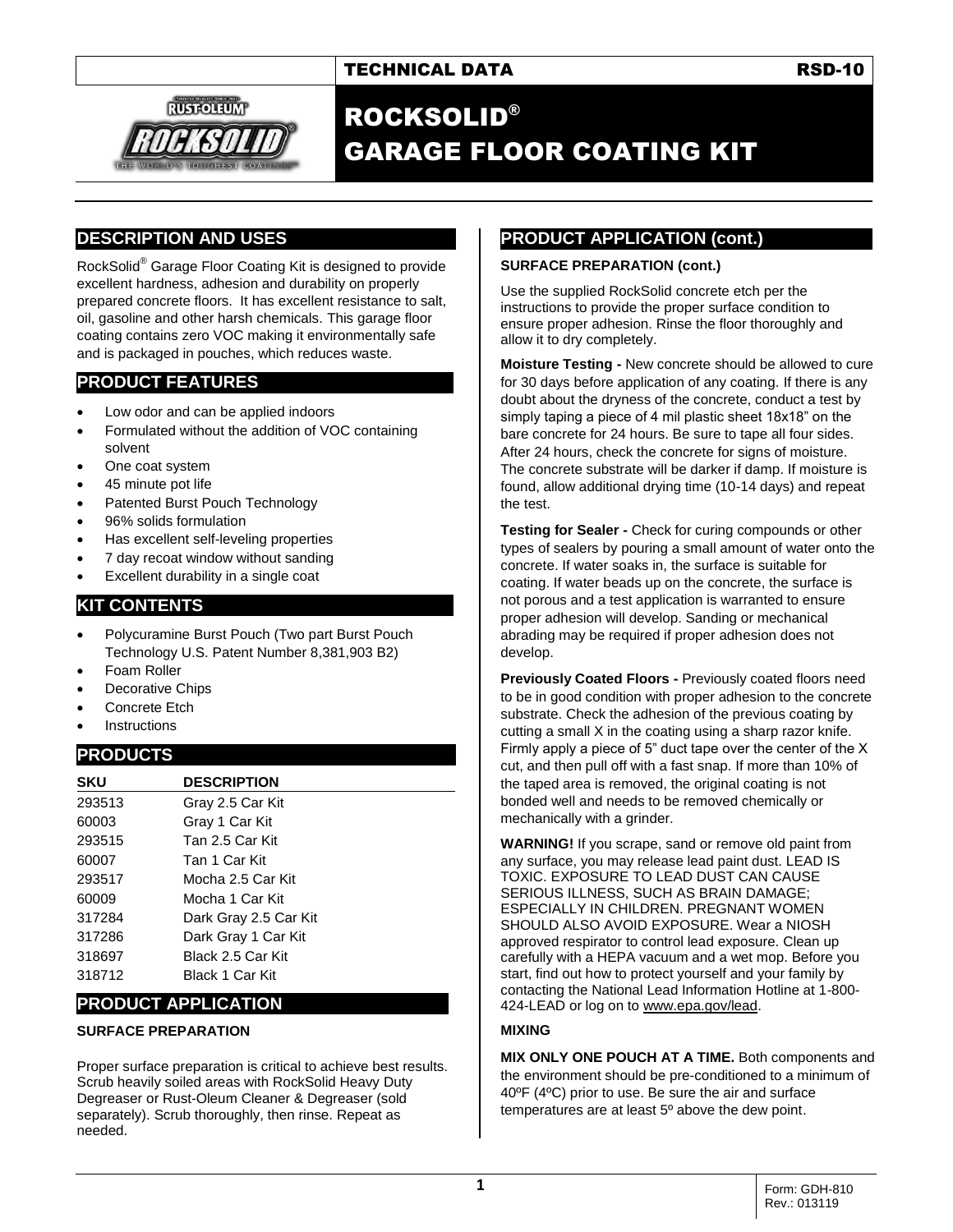

## ROCKSOLID® GARAGE FLOOR COATING KIT

## **DESCRIPTION AND USES**

RockSolid® Garage Floor Coating Kit is designed to provide excellent hardness, adhesion and durability on properly prepared concrete floors. It has excellent resistance to salt, oil, gasoline and other harsh chemicals. This garage floor coating contains zero VOC making it environmentally safe and is packaged in pouches, which reduces waste.

## **PRODUCT FEATURES**

- Low odor and can be applied indoors
- Formulated without the addition of VOC containing solvent
- One coat system
- 45 minute pot life
- Patented Burst Pouch Technology
- 96% solids formulation
- Has excellent self-leveling properties
- 7 day recoat window without sanding
- Excellent durability in a single coat

## **KIT CONTENTS**

- Polycuramine Burst Pouch (Two part Burst Pouch Technology U.S. Patent Number 8,381,903 B2)
- Foam Roller
- Decorative Chips
- Concrete Etch
- **Instructions**

## **PRODUCTS**

| <b>SKU</b> | <b>DESCRIPTION</b>    |
|------------|-----------------------|
| 293513     | Gray 2.5 Car Kit      |
| 60003      | Gray 1 Car Kit        |
| 293515     | Tan 2.5 Car Kit       |
| 60007      | Tan 1 Car Kit         |
| 293517     | Mocha 2.5 Car Kit     |
| 60009      | Mocha 1 Car Kit       |
| 317284     | Dark Gray 2.5 Car Kit |
| 317286     | Dark Gray 1 Car Kit   |
| 318697     | Black 2.5 Car Kit     |
| 318712     | Black 1 Car Kit       |

## **PRODUCT APPLICATION**

#### **SURFACE PREPARATION**

Proper surface preparation is critical to achieve best results. Scrub heavily soiled areas with RockSolid Heavy Duty Degreaser or Rust-Oleum Cleaner & Degreaser (sold separately). Scrub thoroughly, then rinse. Repeat as needed.

## **PRODUCT APPLICATION (cont.)**

#### **SURFACE PREPARATION (cont.)**

Use the supplied RockSolid concrete etch per the instructions to provide the proper surface condition to ensure proper adhesion. Rinse the floor thoroughly and allow it to dry completely.

**Moisture Testing -** New concrete should be allowed to cure for 30 days before application of any coating. If there is any doubt about the dryness of the concrete, conduct a test by simply taping a piece of 4 mil plastic sheet 18x18" on the bare concrete for 24 hours. Be sure to tape all four sides. After 24 hours, check the concrete for signs of moisture. The concrete substrate will be darker if damp. If moisture is found, allow additional drying time (10-14 days) and repeat the test.

**Testing for Sealer -** Check for curing compounds or other types of sealers by pouring a small amount of water onto the concrete. If water soaks in, the surface is suitable for coating. If water beads up on the concrete, the surface is not porous and a test application is warranted to ensure proper adhesion will develop. Sanding or mechanical abrading may be required if proper adhesion does not develop.

**Previously Coated Floors -** Previously coated floors need to be in good condition with proper adhesion to the concrete substrate. Check the adhesion of the previous coating by cutting a small X in the coating using a sharp razor knife. Firmly apply a piece of 5" duct tape over the center of the X cut, and then pull off with a fast snap. If more than 10% of the taped area is removed, the original coating is not bonded well and needs to be removed chemically or mechanically with a grinder.

**WARNING!** If you scrape, sand or remove old paint from any surface, you may release lead paint dust. LEAD IS TOXIC. EXPOSURE TO LEAD DUST CAN CAUSE SERIOUS ILLNESS, SUCH AS BRAIN DAMAGE; ESPECIALLY IN CHILDREN. PREGNANT WOMEN SHOULD ALSO AVOID EXPOSURE. Wear a NIOSH approved respirator to control lead exposure. Clean up carefully with a HEPA vacuum and a wet mop. Before you start, find out how to protect yourself and your family by contacting the National Lead Information Hotline at 1-800- 424-LEAD or log on to [www.epa.gov/lead.](http://www.epa.gov/lead)

#### **MIXING**

**MIX ONLY ONE POUCH AT A TIME.** Both components and the environment should be pre-conditioned to a minimum of 40ºF (4ºC) prior to use. Be sure the air and surface temperatures are at least 5º above the dew point.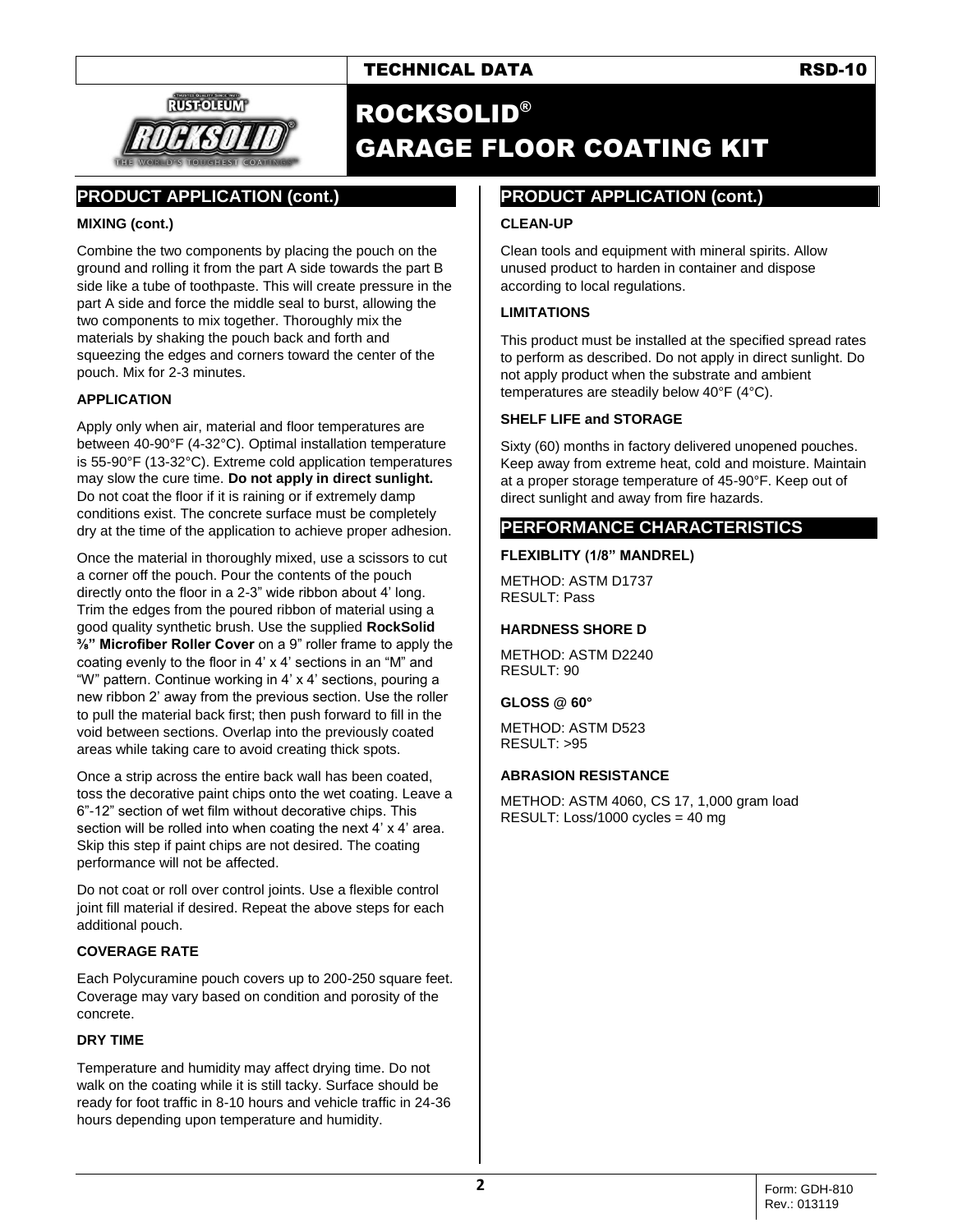



## ROCKSOLID® GARAGE FLOOR COATING KIT

## **PRODUCT APPLICATION (cont.)**

#### **MIXING (cont.)**

Combine the two components by placing the pouch on the ground and rolling it from the part A side towards the part B side like a tube of toothpaste. This will create pressure in the part A side and force the middle seal to burst, allowing the two components to mix together. Thoroughly mix the materials by shaking the pouch back and forth and squeezing the edges and corners toward the center of the pouch. Mix for 2-3 minutes.

#### **APPLICATION**

Apply only when air, material and floor temperatures are between 40-90°F (4-32°C). Optimal installation temperature is 55-90°F (13-32°C). Extreme cold application temperatures may slow the cure time. **Do not apply in direct sunlight.** Do not coat the floor if it is raining or if extremely damp conditions exist. The concrete surface must be completely dry at the time of the application to achieve proper adhesion.

Once the material in thoroughly mixed, use a scissors to cut a corner off the pouch. Pour the contents of the pouch directly onto the floor in a 2-3" wide ribbon about 4' long. Trim the edges from the poured ribbon of material using a good quality synthetic brush. Use the supplied **RockSolid ⅜" Microfiber Roller Cover** on a 9" roller frame to apply the coating evenly to the floor in 4' x 4' sections in an "M" and "W" pattern. Continue working in 4' x 4' sections, pouring a new ribbon 2' away from the previous section. Use the roller to pull the material back first; then push forward to fill in the void between sections. Overlap into the previously coated areas while taking care to avoid creating thick spots.

Once a strip across the entire back wall has been coated, toss the decorative paint chips onto the wet coating. Leave a 6"-12" section of wet film without decorative chips. This section will be rolled into when coating the next 4' x 4' area. Skip this step if paint chips are not desired. The coating performance will not be affected.

Do not coat or roll over control joints. Use a flexible control joint fill material if desired. Repeat the above steps for each additional pouch.

#### **COVERAGE RATE**

Each Polycuramine pouch covers up to 200-250 square feet. Coverage may vary based on condition and porosity of the concrete.

#### **DRY TIME**

Temperature and humidity may affect drying time. Do not walk on the coating while it is still tacky. Surface should be ready for foot traffic in 8-10 hours and vehicle traffic in 24-36 hours depending upon temperature and humidity.

## **PRODUCT APPLICATION (cont.)**

#### **CLEAN-UP**

Clean tools and equipment with mineral spirits. Allow unused product to harden in container and dispose according to local regulations.

#### **LIMITATIONS**

This product must be installed at the specified spread rates to perform as described. Do not apply in direct sunlight. Do not apply product when the substrate and ambient temperatures are steadily below 40°F (4°C).

#### **SHELF LIFE and STORAGE**

Sixty (60) months in factory delivered unopened pouches. Keep away from extreme heat, cold and moisture. Maintain at a proper storage temperature of 45-90°F. Keep out of direct sunlight and away from fire hazards.

#### **PERFORMANCE CHARACTERISTICS**

### **FLEXIBLITY (1/8" MANDREL)**

METHOD: ASTM D1737 RESULT: Pass

#### **HARDNESS SHORE D**

METHOD: ASTM D2240 RESULT: 90

#### **GLOSS @ 60°**

METHOD: ASTM D523 RESULT: >95

#### **ABRASION RESISTANCE**

METHOD: ASTM 4060, CS 17, 1,000 gram load RESULT: Loss/1000 cycles = 40 mg